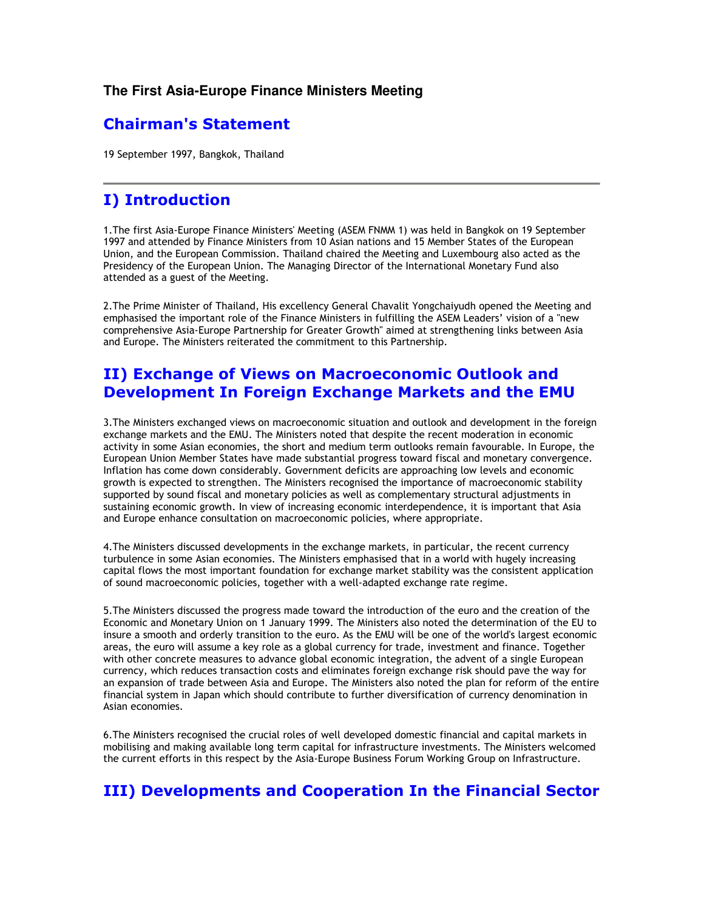#### The First Asia-Europe Finance Ministers Meeting

# **Chairman's Statement**

19 September 1997, Bangkok, Thailand

#### **I) Introduction**

1. The first Asia-Europe Finance Ministers' Meeting (ASEM FNMM 1) was held in Bangkok on 19 September 1997 and attended by Finance Ministers from 10 Asian nations and 15 Member States of the European Union, and the European Commission. Thailand chaired the Meeting and Luxembourg also acted as the Presidency of the European Union. The Managing Director of the International Monetary Fund also attended as a guest of the Meeting.

2. The Prime Minister of Thailand, His excellency General Chavalit Yongchaiyudh opened the Meeting and emphasised the important role of the Finance Ministers in fulfilling the ASEM Leaders' vision of a "new comprehensive Asia-Europe Partnership for Greater Growth" aimed at strengthening links between Asia and Europe. The Ministers reiterated the commitment to this Partnership.

# II) Exchange of Views on Macroeconomic Outlook and Development In Foreign Exchange Markets and the EMU

3. The Ministers exchanged views on macroeconomic situation and outlook and development in the foreign exchange markets and the EMU. The Ministers noted that despite the recent moderation in economic activity in some Asian economies, the short and medium term outlooks remain favourable. In Europe, the European Union Member States have made substantial progress toward fiscal and monetary convergence. Inflation has come down considerably. Government deficits are approaching low levels and economic growth is expected to strengthen. The Ministers recognised the importance of macroeconomic stability supported by sound fiscal and monetary policies as well as complementary structural adjustments in sustaining economic growth. In view of increasing economic interdependence, it is important that Asia and Europe enhance consultation on macroeconomic policies, where appropriate.

4. The Ministers discussed developments in the exchange markets, in particular, the recent currency turbulence in some Asian economies. The Ministers emphasised that in a world with hugely increasing capital flows the most important foundation for exchange market stability was the consistent application of sound macroeconomic policies, together with a well-adapted exchange rate regime.

5. The Ministers discussed the progress made toward the introduction of the euro and the creation of the Economic and Monetary Union on 1 January 1999. The Ministers also noted the determination of the EU to insure a smooth and orderly transition to the euro. As the EMU will be one of the world's largest economic areas, the euro will assume a key role as a global currency for trade, investment and finance. Together with other concrete measures to advance global economic integration, the advent of a single European currency, which reduces transaction costs and eliminates foreign exchange risk should pave the way for an expansion of trade between Asia and Europe. The Ministers also noted the plan for reform of the entire financial system in Japan which should contribute to further diversification of currency denomination in Asian economies.

6. The Ministers recognised the crucial roles of well developed domestic financial and capital markets in mobilising and making available long term capital for infrastructure investments. The Ministers welcomed the current efforts in this respect by the Asia-Europe Business Forum Working Group on Infrastructure.

# **III) Developments and Cooperation In the Financial Sector**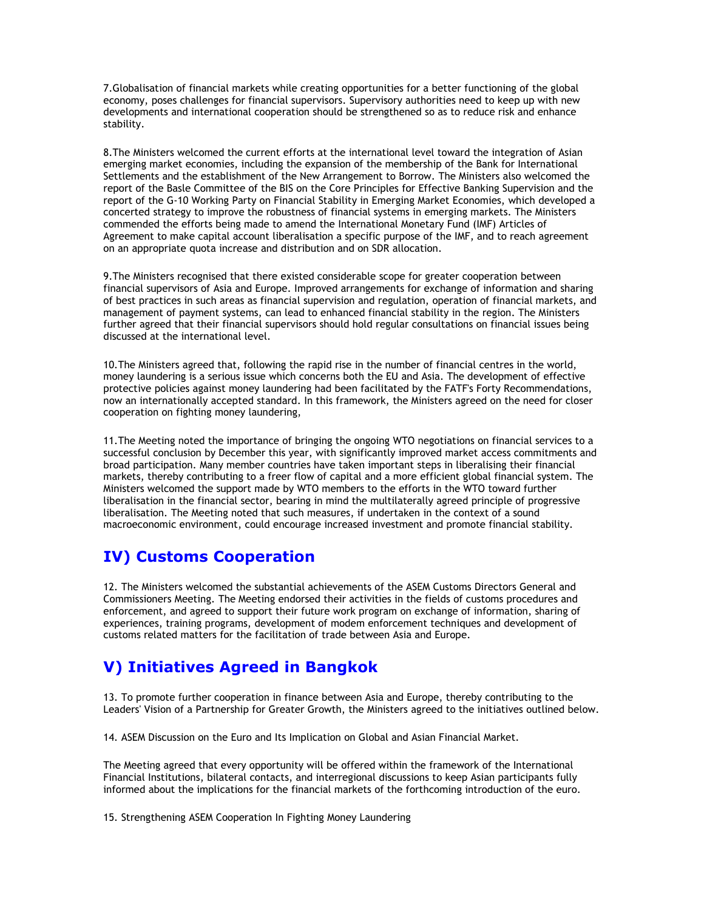7. Globalisation of financial markets while creating opportunities for a better functioning of the global economy, poses challenges for financial supervisors. Supervisory authorities need to keep up with new developments and international cooperation should be strengthened so as to reduce risk and enhance stability.

8. The Ministers welcomed the current efforts at the international level toward the integration of Asian emerging market economies, including the expansion of the membership of the Bank for International Settlements and the establishment of the New Arrangement to Borrow. The Ministers also welcomed the report of the Basle Committee of the BIS on the Core Principles for Effective Banking Supervision and the report of the G-10 Working Party on Financial Stability in Emerging Market Economies, which developed a concerted strategy to improve the robustness of financial systems in emerging markets. The Ministers commended the efforts being made to amend the International Monetary Fund (IMF) Articles of Agreement to make capital account liberalisation a specific purpose of the IMF, and to reach agreement on an appropriate quota increase and distribution and on SDR allocation.

9. The Ministers recognised that there existed considerable scope for greater cooperation between financial supervisors of Asia and Europe. Improved arrangements for exchange of information and sharing of best practices in such areas as financial supervision and regulation, operation of financial markets, and management of payment systems, can lead to enhanced financial stability in the region. The Ministers further agreed that their financial supervisors should hold regular consultations on financial issues being discussed at the international level.

10. The Ministers agreed that, following the rapid rise in the number of financial centres in the world. money laundering is a serious issue which concerns both the EU and Asia. The development of effective protective policies against money laundering had been facilitated by the FATF's Forty Recommendations, now an internationally accepted standard. In this framework, the Ministers agreed on the need for closer cooperation on fighting money laundering,

11. The Meeting noted the importance of bringing the ongoing WTO negotiations on financial services to a successful conclusion by December this year, with significantly improved market access commitments and broad participation. Many member countries have taken important steps in liberalising their financial markets, thereby contributing to a freer flow of capital and a more efficient global financial system. The Ministers welcomed the support made by WTO members to the efforts in the WTO toward further liberalisation in the financial sector, bearing in mind the multilaterally agreed principle of progressive liberalisation. The Meeting noted that such measures, if undertaken in the context of a sound macroeconomic environment, could encourage increased investment and promote financial stability.

# **IV) Customs Cooperation**

12. The Ministers welcomed the substantial achievements of the ASEM Customs Directors General and Commissioners Meeting. The Meeting endorsed their activities in the fields of customs procedures and enforcement, and agreed to support their future work program on exchange of information, sharing of experiences, training programs, development of modem enforcement techniques and development of customs related matters for the facilitation of trade between Asia and Europe.

# V) Initiatives Agreed in Bangkok

13. To promote further cooperation in finance between Asia and Europe, thereby contributing to the Leaders' Vision of a Partnership for Greater Growth, the Ministers agreed to the initiatives outlined below.

14. ASEM Discussion on the Euro and Its Implication on Global and Asian Financial Market.

The Meeting agreed that every opportunity will be offered within the framework of the International Financial Institutions, bilateral contacts, and interregional discussions to keep Asian participants fully informed about the implications for the financial markets of the forthcoming introduction of the euro.

15. Strengthening ASEM Cooperation In Fighting Money Laundering